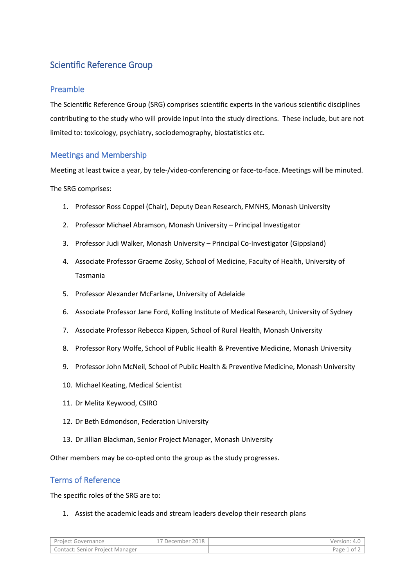## Scientific Reference Group

## Preamble

The Scientific Reference Group (SRG) comprises scientific experts in the various scientific disciplines contributing to the study who will provide input into the study directions. These include, but are not limited to: toxicology, psychiatry, sociodemography, biostatistics etc.

## Meetings and Membership

Meeting at least twice a year, by tele-/video-conferencing or face-to-face. Meetings will be minuted.

The SRG comprises:

- 1. Professor Ross Coppel (Chair), Deputy Dean Research, FMNHS, Monash University
- 2. Professor Michael Abramson, Monash University Principal Investigator
- 3. Professor Judi Walker, Monash University Principal Co-Investigator (Gippsland)
- 4. Associate Professor Graeme Zosky, School of Medicine, Faculty of Health, University of Tasmania
- 5. Professor Alexander McFarlane, University of Adelaide
- 6. Associate Professor Jane Ford, Kolling Institute of Medical Research, University of Sydney
- 7. Associate Professor Rebecca Kippen, School of Rural Health, Monash University
- 8. Professor Rory Wolfe, School of Public Health & Preventive Medicine, Monash University
- 9. Professor John McNeil, School of Public Health & Preventive Medicine, Monash University
- 10. Michael Keating, Medical Scientist
- 11. Dr Melita Keywood, CSIRO
- 12. Dr Beth Edmondson, Federation University
- 13. Dr Jillian Blackman, Senior Project Manager, Monash University

Other members may be co-opted onto the group as the study progresses.

## Terms of Reference

The specific roles of the SRG are to:

1. Assist the academic leads and stream leaders develop their research plans

| Project Governance              | *7 December 2018 | Version: 4.0 I |
|---------------------------------|------------------|----------------|
| Contact: Senior Project Manager |                  | Page 1 of      |